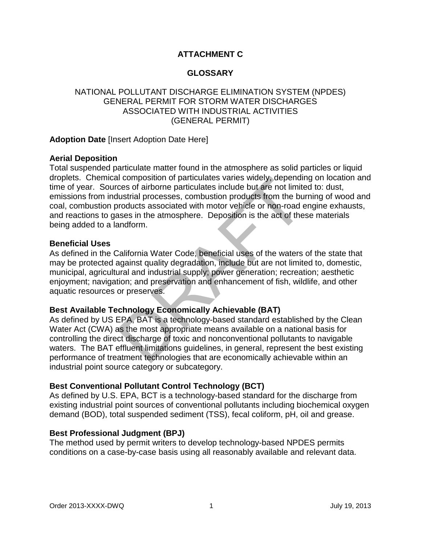# **ATTACHMENT C**

## **GLOSSARY**

## NATIONAL POLLUTANT DISCHARGE ELIMINATION SYSTEM (NPDES) GENERAL PERMIT FOR STORM WATER DISCHARGES ASSOCIATED WITH INDUSTRIAL ACTIVITIES (GENERAL PERMIT)

## **Adoption Date** [Insert Adoption Date Here]

### **Aerial Deposition**

If composition of particulates varies widely, dependinces of airborne particulates include but are not limit<br>flustrial processes, combustion products from the buroducts associated with motor vehicle or non-road e<br>asses in Total suspended particulate matter found in the atmosphere as solid particles or liquid droplets. Chemical composition of particulates varies widely, depending on location and time of year. Sources of airborne particulates include but are not limited to: dust, emissions from industrial processes, combustion products from the burning of wood and coal, combustion products associated with motor vehicle or non-road engine exhausts, and reactions to gases in the atmosphere. Deposition is the act of these materials being added to a landform.

### **Beneficial Uses**

As defined in the California Water Code, beneficial uses of the waters of the state that may be protected against quality degradation, include but are not limited to, domestic, municipal, agricultural and industrial supply; power generation; recreation; aesthetic enjoyment; navigation; and preservation and enhancement of fish, wildlife, and other aquatic resources or preserves.

### **Best Available Technology Economically Achievable (BAT)**

As defined by US EPA, BAT is a technology-based standard established by the Clean Water Act (CWA) as the most appropriate means available on a national basis for controlling the direct discharge of toxic and nonconventional pollutants to navigable waters. The BAT effluent limitations guidelines, in general, represent the best existing performance of treatment technologies that are economically achievable within an industrial point source category or subcategory.

### **Best Conventional Pollutant Control Technology (BCT)**

As defined by U.S. EPA, BCT is a technology-based standard for the discharge from existing industrial point sources of conventional pollutants including biochemical oxygen demand (BOD), total suspended sediment (TSS), fecal coliform, pH, oil and grease.

### **Best Professional Judgment (BPJ)**

The method used by permit writers to develop technology-based NPDES permits conditions on a case-by-case basis using all reasonably available and relevant data.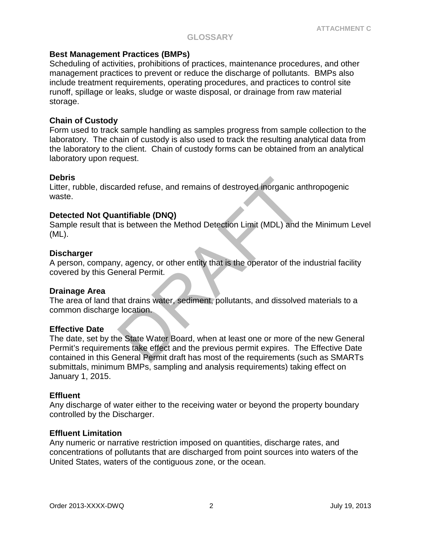### **GLOSSARY**

### **Best Management Practices (BMPs)**

Scheduling of activities, prohibitions of practices, maintenance procedures, and other management practices to prevent or reduce the discharge of pollutants. BMPs also include treatment requirements, operating procedures, and practices to control site runoff, spillage or leaks, sludge or waste disposal, or drainage from raw material storage.

### **Chain of Custody**

Form used to track sample handling as samples progress from sample collection to the laboratory. The chain of custody is also used to track the resulting analytical data from the laboratory to the client. Chain of custody forms can be obtained from an analytical laboratory upon request.

### **Debris**

Litter, rubble, discarded refuse, and remains of destroyed inorganic anthropogenic waste.

### **Detected Not Quantifiable (DNQ)**

Sample result that is between the Method Detection Limit (MDL) and the Minimum Level (ML).

### **Discharger**

A person, company, agency, or other entity that is the operator of the industrial facility covered by this General Permit.

### **Drainage Area**

The area of land that drains water, sediment, pollutants, and dissolved materials to a common discharge location.

### **Effective Date**

and the set and remains of destroyed inorganic and<br>
intifiable (DNQ)<br>
is between the Method Detection Limit (MDL) and t<br>
y, agency, or other entity that is the operator of the inneral Permit.<br>
has drains water, sediment, p The date, set by the State Water Board, when at least one or more of the new General Permit's requirements take effect and the previous permit expires. The Effective Date contained in this General Permit draft has most of the requirements (such as SMARTs submittals, minimum BMPs, sampling and analysis requirements) taking effect on January 1, 2015.

### **Effluent**

Any discharge of water either to the receiving water or beyond the property boundary controlled by the Discharger.

### **Effluent Limitation**

Any numeric or narrative restriction imposed on quantities, discharge rates, and concentrations of pollutants that are discharged from point sources into waters of the United States, waters of the contiguous zone, or the ocean.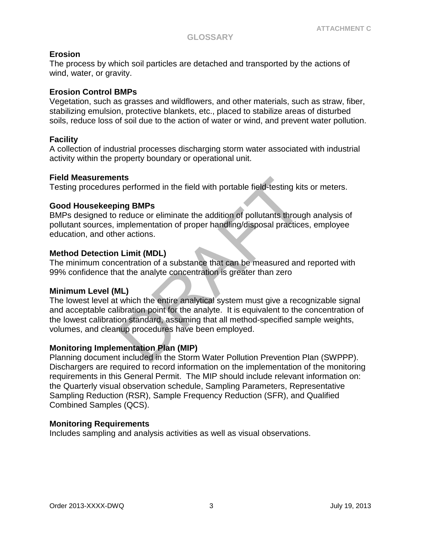## **Erosion**

The process by which soil particles are detached and transported by the actions of wind, water, or gravity.

### **Erosion Control BMPs**

Vegetation, such as grasses and wildflowers, and other materials, such as straw, fiber, stabilizing emulsion, protective blankets, etc., placed to stabilize areas of disturbed soils, reduce loss of soil due to the action of water or wind, and prevent water pollution.

### **Facility**

A collection of industrial processes discharging storm water associated with industrial activity within the property boundary or operational unit.

### **Field Measurements**

Testing procedures performed in the field with portable field-testing kits or meters.

### **Good Housekeeping BMPs**

BMPs designed to reduce or eliminate the addition of pollutants through analysis of pollutant sources, implementation of proper handling/disposal practices, employee education, and other actions.

### **Method Detection Limit (MDL)**

The minimum concentration of a substance that can be measured and reported with 99% confidence that the analyte concentration is greater than zero

### **Minimum Level (ML)**

**Instance 15**<br>
Summer in the field with portable field-testing kit<br> **ing BMPs**<br>
reduce or eliminate the addition of pollutants through<br>
implementation of proper handling/disposal practice<br>
er actions.<br>
Limit (MDL)<br>
centrat The lowest level at which the entire analytical system must give a recognizable signal and acceptable calibration point for the analyte. It is equivalent to the concentration of the lowest calibration standard, assuming that all method-specified sample weights, volumes, and cleanup procedures have been employed.

## **Monitoring Implementation Plan (MIP)**

Planning document included in the Storm Water Pollution Prevention Plan (SWPPP). Dischargers are required to record information on the implementation of the monitoring requirements in this General Permit. The MIP should include relevant information on: the Quarterly visual observation schedule, Sampling Parameters, Representative Sampling Reduction (RSR), Sample Frequency Reduction (SFR), and Qualified Combined Samples (QCS).

### **Monitoring Requirements**

Includes sampling and analysis activities as well as visual observations.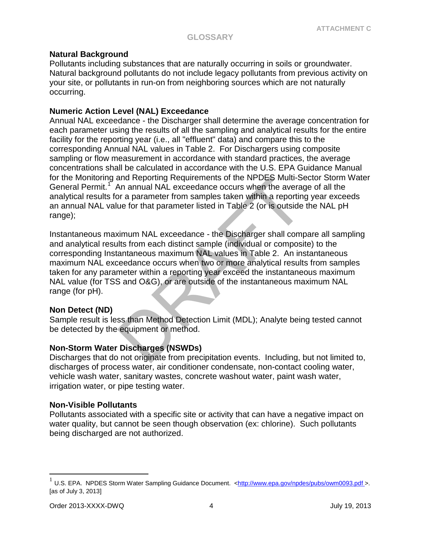## **Natural Background**

Pollutants including substances that are naturally occurring in soils or groundwater. Natural background pollutants do not include legacy pollutants from previous activity on your site, or pollutants in run-on from neighboring sources which are not naturally occurring.

## **Numeric Action Level (NAL) Exceedance**

Annual NAL exceedance - the Discharger shall determine the average concentration for each parameter using the results of all the sampling and analytical results for the entire facility for the reporting year (i.e., all "effluent" data) and compare this to the corresponding Annual NAL values in Table 2. For Dischargers using composite sampling or flow measurement in accordance with standard practices, the average concentrations shall be calculated in accordance with the U.S. EPA Guidance Manual for the Monitoring and Reporting Requirements of the NPDES Multi-Sector Storm Water General Permit.<sup>[1](#page-3-0)</sup> An annual NAL exceedance occurs when the average of all the analytical results for a parameter from samples taken within a reporting year exceeds an annual NAL value for that parameter listed in Table 2 (or is outside the NAL pH range);

and Reporting Requirements of the NPDES Multi-Se<br>An annual NAL exceedance occurs when the averagor a parameter from samples taken within a reportin-<br>ue for that parameter listed in Table 2 (or is outside<br>kimum NAL exceedan Instantaneous maximum NAL exceedance - the Discharger shall compare all sampling and analytical results from each distinct sample (individual or composite) to the corresponding Instantaneous maximum NAL values in Table 2. An instantaneous maximum NAL exceedance occurs when two or more analytical results from samples taken for any parameter within a reporting year exceed the instantaneous maximum NAL value (for TSS and O&G), or are outside of the instantaneous maximum NAL range (for pH).

## **Non Detect (ND)**

Sample result is less than Method Detection Limit (MDL); Analyte being tested cannot be detected by the equipment or method.

# **Non-Storm Water Discharges (NSWDs)**

Discharges that do not originate from precipitation events. Including, but not limited to, discharges of process water, air conditioner condensate, non-contact cooling water, vehicle wash water, sanitary wastes, concrete washout water, paint wash water, irrigation water, or pipe testing water.

## **Non-Visible Pollutants**

Pollutants associated with a specific site or activity that can have a negative impact on water quality, but cannot be seen though observation (ex: chlorine). Such pollutants being discharged are not authorized.

 $\overline{a}$ 

<span id="page-3-0"></span><sup>&</sup>lt;sup>1</sup> U.S. EPA. NPDES Storm Water Sampling Guidance Document. [<http://www.epa.gov/npdes/pubs/owm0093.pdf](http://www.epa.gov/npdes/pubs/owm0093.pdf) >. [as of July 3, 2013]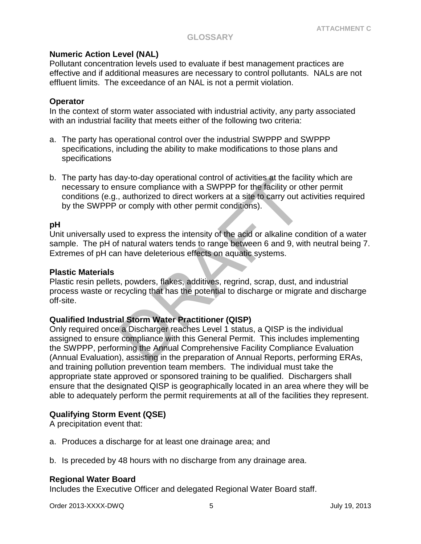### **GLOSSARY**

### **Numeric Action Level (NAL)**

Pollutant concentration levels used to evaluate if best management practices are effective and if additional measures are necessary to control pollutants. NALs are not effluent limits. The exceedance of an NAL is not a permit violation.

### **Operator**

In the context of storm water associated with industrial activity, any party associated with an industrial facility that meets either of the following two criteria:

- a. The party has operational control over the industrial SWPPP and SWPPP specifications, including the ability to make modifications to those plans and specifications
- b. The party has day-to-day operational control of activities at the facility which are necessary to ensure compliance with a SWPPP for the facility or other permit conditions (e.g., authorized to direct workers at a site to carry out activities required by the SWPPP or comply with other permit conditions).

### **pH**

Unit universally used to express the intensity of the acid or alkaline condition of a water sample. The pH of natural waters tends to range between 6 and 9, with neutral being 7. Extremes of pH can have deleterious effects on aquatic systems.

#### **Plastic Materials**

Plastic resin pellets, powders, flakes, additives, regrind, scrap, dust, and industrial process waste or recycling that has the potential to discharge or migrate and discharge off-site.

### **Qualified Industrial Storm Water Practitioner (QISP)**

abustay-to-day operational control of activities at the facility or of<br>a sure compliance with a SWPPP for the facility or of<br>a curry out a or comply with other permit conditions).<br>ed to express the intensity of the acid or Only required once a Discharger reaches Level 1 status, a QISP is the individual assigned to ensure compliance with this General Permit. This includes implementing the SWPPP, performing the Annual Comprehensive Facility Compliance Evaluation (Annual Evaluation), assisting in the preparation of Annual Reports, performing ERAs, and training pollution prevention team members. The individual must take the appropriate state approved or sponsored training to be qualified. Dischargers shall ensure that the designated QISP is geographically located in an area where they will be able to adequately perform the permit requirements at all of the facilities they represent.

### **Qualifying Storm Event (QSE)**

A precipitation event that:

- a. Produces a discharge for at least one drainage area; and
- b. Is preceded by 48 hours with no discharge from any drainage area.

#### **Regional Water Board**

Includes the Executive Officer and delegated Regional Water Board staff.

Order 2013-XXXX-DWQ 5 July 19, 2013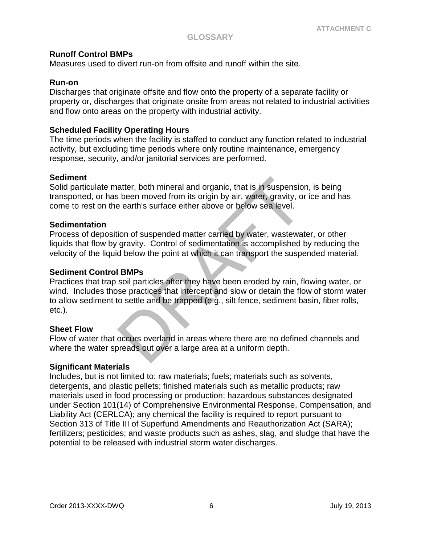### **Runoff Control BMPs**

Measures used to divert run-on from offsite and runoff within the site.

### **Run-on**

Discharges that originate offsite and flow onto the property of a separate facility or property or, discharges that originate onsite from areas not related to industrial activities and flow onto areas on the property with industrial activity.

### **Scheduled Facility Operating Hours**

The time periods when the facility is staffed to conduct any function related to industrial activity, but excluding time periods where only routine maintenance, emergency response, security, and/or janitorial services are performed.

### **Sediment**

Solid particulate matter, both mineral and organic, that is in suspension, is being transported, or has been moved from its origin by air, water, gravity, or ice and has come to rest on the earth's surface either above or below sea level.

### **Sedimentation**

Process of deposition of suspended matter carried by water, wastewater, or other liquids that flow by gravity. Control of sedimentation is accomplished by reducing the velocity of the liquid below the point at which it can transport the suspended material.

### **Sediment Control BMPs**

atter, both mineral and organic, that is in suspensio<br>
been moved from its origin by air, water, gravity, on<br>
been moved from its origin by air, water, gravity, on<br>
beenth's surface either above or below sea level.<br>
dion o Practices that trap soil particles after they have been eroded by rain, flowing water, or wind. Includes those practices that intercept and slow or detain the flow of storm water to allow sediment to settle and be trapped (e.g., silt fence, sediment basin, fiber rolls, etc.).

### **Sheet Flow**

Flow of water that occurs overland in areas where there are no defined channels and where the water spreads out over a large area at a uniform depth.

### **Significant Materials**

Includes, but is not limited to: raw materials; fuels; materials such as solvents, detergents, and plastic pellets; finished materials such as metallic products; raw materials used in food processing or production; hazardous substances designated under Section 101(14) of Comprehensive Environmental Response, Compensation, and Liability Act (CERLCA); any chemical the facility is required to report pursuant to Section 313 of Title III of Superfund Amendments and Reauthorization Act (SARA); fertilizers; pesticides; and waste products such as ashes, slag, and sludge that have the potential to be released with industrial storm water discharges.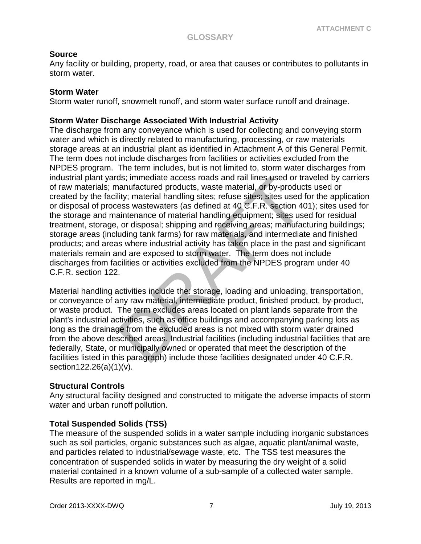## **Source**

Any facility or building, property, road, or area that causes or contributes to pollutants in storm water.

## **Storm Water**

Storm water runoff, snowmelt runoff, and storm water surface runoff and drainage.

## **Storm Water Discharge Associated With Industrial Activity**

distrimediate access roads and rail lines used or tranufactured products, waste material, or by-productity; material handling sites; refuse sites, sites used ess wastewaters (as defined at 40 C.F.R. section 44 aintenance o The discharge from any conveyance which is used for collecting and conveying storm water and which is directly related to manufacturing, processing, or raw materials storage areas at an industrial plant as identified in Attachment A of this General Permit. The term does not include discharges from facilities or activities excluded from the NPDES program. The term includes, but is not limited to, storm water discharges from industrial plant yards; immediate access roads and rail lines used or traveled by carriers of raw materials; manufactured products, waste material, or by-products used or created by the facility; material handling sites; refuse sites; sites used for the application or disposal of process wastewaters (as defined at 40 C.F.R. section 401); sites used for the storage and maintenance of material handling equipment; sites used for residual treatment, storage, or disposal; shipping and receiving areas; manufacturing buildings; storage areas (including tank farms) for raw materials, and intermediate and finished products; and areas where industrial activity has taken place in the past and significant materials remain and are exposed to storm water. The term does not include discharges from facilities or activities excluded from the NPDES program under 40 C.F.R. section 122.

Material handling activities include the: storage, loading and unloading, transportation, or conveyance of any raw material, intermediate product, finished product, by-product, or waste product. The term excludes areas located on plant lands separate from the plant's industrial activities, such as office buildings and accompanying parking lots as long as the drainage from the excluded areas is not mixed with storm water drained from the above described areas. Industrial facilities (including industrial facilities that are federally, State, or municipally owned or operated that meet the description of the facilities listed in this paragraph) include those facilities designated under 40 C.F.R. section122.26(a)(1)(v).

## **Structural Controls**

Any structural facility designed and constructed to mitigate the adverse impacts of storm water and urban runoff pollution.

## **Total Suspended Solids (TSS)**

The measure of the suspended solids in a water sample including inorganic substances such as soil particles, organic substances such as algae, aquatic plant/animal waste, and particles related to industrial/sewage waste, etc. The TSS test measures the concentration of suspended solids in water by measuring the dry weight of a solid material contained in a known volume of a sub-sample of a collected water sample. Results are reported in mg/L.